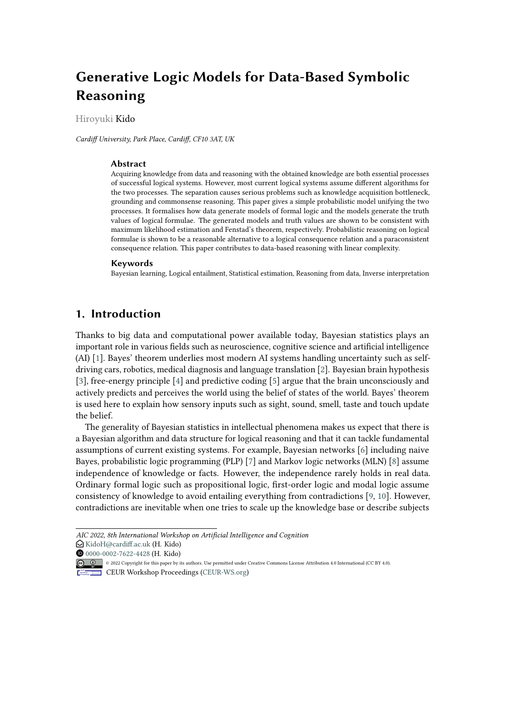# **Generative Logic Models for Data-Based Symbolic Reasoning**

Hiroyuki Kido

*Cardiff University, Park Place, Cardiff, CF10 3AT, UK*

#### **Abstract**

Acquiring knowledge from data and reasoning with the obtained knowledge are both essential processes of successful logical systems. However, most current logical systems assume different algorithms for the two processes. The separation causes serious problems such as knowledge acquisition bottleneck, grounding and commonsense reasoning. This paper gives a simple probabilistic model unifying the two processes. It formalises how data generate models of formal logic and the models generate the truth values of logical formulae. The generated models and truth values are shown to be consistent with maximum likelihood estimation and Fenstad's theorem, respectively. Probabilistic reasoning on logical formulae is shown to be a reasonable alternative to a logical consequence relation and a paraconsistent consequence relation. This paper contributes to data-based reasoning with linear complexity.

#### **Keywords**

Bayesian learning, Logical entailment, Statistical estimation, Reasoning from data, Inverse interpretation

### **1. Introduction**

Thanks to big data and computational power available today, Bayesian statistics plays an important role in various fields such as neuroscience, cognitive science and artificial intelligence (AI) [\[1\]](#page-12-0). Bayes' theorem underlies most modern AI systems handling uncertainty such as selfdriving cars, robotics, medical diagnosis and language translation [\[2\]](#page-12-1). Bayesian brain hypothesis [\[3\]](#page-12-2), free-energy principle [\[4\]](#page-12-3) and predictive coding [\[5\]](#page-12-4) argue that the brain unconsciously and actively predicts and perceives the world using the belief of states of the world. Bayes' theorem is used here to explain how sensory inputs such as sight, sound, smell, taste and touch update the belief.

The generality of Bayesian statistics in intellectual phenomena makes us expect that there is a Bayesian algorithm and data structure for logical reasoning and that it can tackle fundamental assumptions of current existing systems. For example, Bayesian networks [\[6\]](#page-12-5) including naive Bayes, probabilistic logic programming (PLP) [\[7\]](#page-12-6) and Markov logic networks (MLN) [\[8\]](#page-12-7) assume independence of knowledge or facts. However, the independence rarely holds in real data. Ordinary formal logic such as propositional logic, first-order logic and modal logic assume consistency of knowledge to avoid entailing everything from contradictions [\[9,](#page-12-8) [10\]](#page-12-9). However, contradictions are inevitable when one tries to scale up the knowledge base or describe subjects

*AIC 2022, 8th International Workshop on Artificial Intelligence and Cognition*

 $\bigcirc$ [KidoH@cardiff.ac.uk](mailto:KidoH@cardiff.ac.uk) (H. Kido)

[0000-0002-7622-4428](https://orcid.org/0000-0002-7622-4428) (H. Kido)

<sup>©</sup> 2022 Copyright for this paper by its authors. Use permitted under Creative Commons License Attribution 4.0 International (CC BY 4.0).

**CEUR Workshop [Proceedings](http://ceur-ws.org) [\(CEUR-WS.org\)](http://ceur-ws.org)**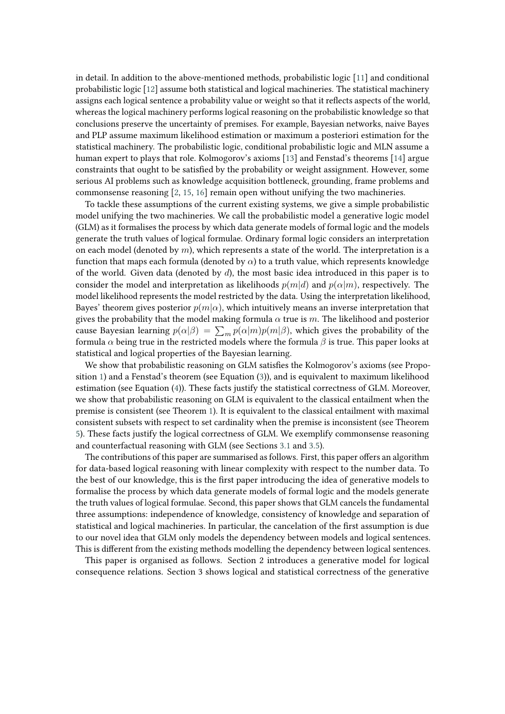in detail. In addition to the above-mentioned methods, probabilistic logic [\[11\]](#page-12-10) and conditional probabilistic logic [\[12\]](#page-12-11) assume both statistical and logical machineries. The statistical machinery assigns each logical sentence a probability value or weight so that it reflects aspects of the world, whereas the logical machinery performs logical reasoning on the probabilistic knowledge so that conclusions preserve the uncertainty of premises. For example, Bayesian networks, naive Bayes and PLP assume maximum likelihood estimation or maximum a posteriori estimation for the statistical machinery. The probabilistic logic, conditional probabilistic logic and MLN assume a human expert to plays that role. Kolmogorov's axioms [\[13\]](#page-12-12) and Fenstad's theorems [\[14\]](#page-12-13) argue constraints that ought to be satisfied by the probability or weight assignment. However, some serious AI problems such as knowledge acquisition bottleneck, grounding, frame problems and commonsense reasoning [\[2,](#page-12-1) [15,](#page-12-14) [16\]](#page-13-0) remain open without unifying the two machineries.

To tackle these assumptions of the current existing systems, we give a simple probabilistic model unifying the two machineries. We call the probabilistic model a generative logic model (GLM) as it formalises the process by which data generate models of formal logic and the models generate the truth values of logical formulae. Ordinary formal logic considers an interpretation on each model (denoted by  $m$ ), which represents a state of the world. The interpretation is a function that maps each formula (denoted by  $\alpha$ ) to a truth value, which represents knowledge of the world. Given data (denoted by  $d$ ), the most basic idea introduced in this paper is to consider the model and interpretation as likelihoods  $p(m|d)$  and  $p(\alpha|m)$ , respectively. The model likelihood represents the model restricted by the data. Using the interpretation likelihood, Bayes' theorem gives posterior  $p(m|\alpha)$ , which intuitively means an inverse interpretation that gives the probability that the model making formula  $\alpha$  true is  $m$ . The likelihood and posterior cause Bayesian learning  $p(\alpha|\beta) = \sum_m p(\alpha|m)p(m|\beta)$ , which gives the probability of the formula $\alpha$  being true in the restricted models where the formula  $\beta$  is true. This paper looks at statistical and logical properties of the Bayesian learning.

We show that probabilistic reasoning on GLM satisfies the Kolmogorov's axioms (see Proposition [1\)](#page-3-0) and a Fenstad's theorem (see Equation [\(3\)](#page-5-0)), and is equivalent to maximum likelihood estimation (see Equation [\(4\)](#page-5-1)). These facts justify the statistical correctness of GLM. Moreover, we show that probabilistic reasoning on GLM is equivalent to the classical entailment when the premise is consistent (see Theorem [1\)](#page-7-0). It is equivalent to the classical entailment with maximal consistent subsets with respect to set cardinality when the premise is inconsistent (see Theorem [5\)](#page-9-0). These facts justify the logical correctness of GLM. We exemplify commonsense reasoning and counterfactual reasoning with GLM (see Sections [3.1](#page-4-0) and [3.5\)](#page-10-0).

The contributions of this paper are summarised as follows. First, this paper offers an algorithm for data-based logical reasoning with linear complexity with respect to the number data. To the best of our knowledge, this is the first paper introducing the idea of generative models to formalise the process by which data generate models of formal logic and the models generate the truth values of logical formulae. Second, this paper shows that GLM cancels the fundamental three assumptions: independence of knowledge, consistency of knowledge and separation of statistical and logical machineries. In particular, the cancelation of the first assumption is due to our novel idea that GLM only models the dependency between models and logical sentences. This is different from the existing methods modelling the dependency between logical sentences.

This paper is organised as follows. Section 2 introduces a generative model for logical consequence relations. Section 3 shows logical and statistical correctness of the generative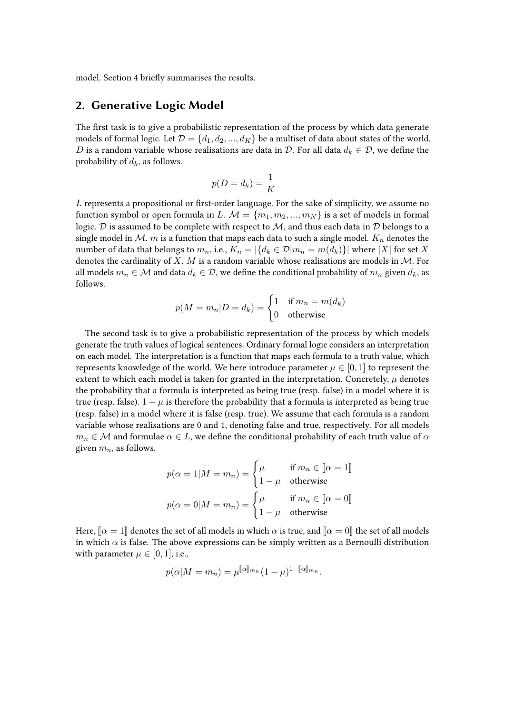model. Section 4 briefly summarises the results.

## **2. Generative Logic Model**

The first task is to give a probabilistic representation of the process by which data generate models of formal logic. Let  $\mathcal{D} = \{d_1, d_2, ..., d_K\}$  be a multiset of data about states of the world. D is a random variable whose realisations are data in D. For all data  $d_k \in \mathcal{D}$ , we define the probability of  $d_k$ , as follows.

$$
p(D = d_k) = \frac{1}{K}
$$

 $L$  represents a propositional or first-order language. For the sake of simplicity, we assume no function symbol or open formula in L.  $M = \{m_1, m_2, ..., m_N\}$  is a set of models in formal logic.  $D$  is assumed to be complete with respect to  $M$ , and thus each data in  $D$  belongs to a single model in  $M$ .  $m$  is a function that maps each data to such a single model.  $K_n$  denotes the number of data that belongs to  $m_n$ , i.e.,  $K_n = |\{d_k \in \mathcal{D}|m_n = m(d_k)\}|$  where  $|X|$  for set X denotes the cardinality of X.  $M$  is a random variable whose realisations are models in  $M$ . For all models  $m_n \in \mathcal{M}$  and data  $d_k \in \mathcal{D}$ , we define the conditional probability of  $m_n$  given  $d_k$ , as follows.

$$
p(M = m_n | D = d_k) = \begin{cases} 1 & \text{if } m_n = m(d_k) \\ 0 & \text{otherwise} \end{cases}
$$

The second task is to give a probabilistic representation of the process by which models generate the truth values of logical sentences. Ordinary formal logic considers an interpretation on each model. The interpretation is a function that maps each formula to a truth value, which represents knowledge of the world. We here introduce parameter  $\mu \in [0, 1]$  to represent the extent to which each model is taken for granted in the interpretation. Concretely,  $\mu$  denotes the probability that a formula is interpreted as being true (resp. false) in a model where it is true (resp. false).  $1 - \mu$  is therefore the probability that a formula is interpreted as being true (resp. false) in a model where it is false (resp. true). We assume that each formula is a random variable whose realisations are 0 and 1, denoting false and true, respectively. For all models  $m_n \in \mathcal{M}$  and formulae  $\alpha \in L$ , we define the conditional probability of each truth value of  $\alpha$ given  $m_n$ , as follows.

$$
p(\alpha = 1 | M = m_n) = \begin{cases} \mu & \text{if } m_n \in [\![ \alpha = 1 ]\!] \\ 1 - \mu & \text{otherwise} \end{cases}
$$

$$
p(\alpha = 0 | M = m_n) = \begin{cases} \mu & \text{if } m_n \in [\![ \alpha = 0 ]\!] \\ 1 - \mu & \text{otherwise} \end{cases}
$$

Here,  $\lbrack \alpha =1 \rbrack$  denotes the set of all models in which  $\alpha$  is true, and  $\lbrack \alpha =0 \rbrack$  the set of all models in which  $\alpha$  is false. The above expressions can be simply written as a Bernoulli distribution with parameter  $\mu \in [0, 1]$ , i.e.,

$$
p(\alpha|M=m_n)=\mu^{\llbracket\alpha\rrbracket_{mn}}(1-\mu)^{1-\llbracket\alpha\rrbracket_{mn}}.
$$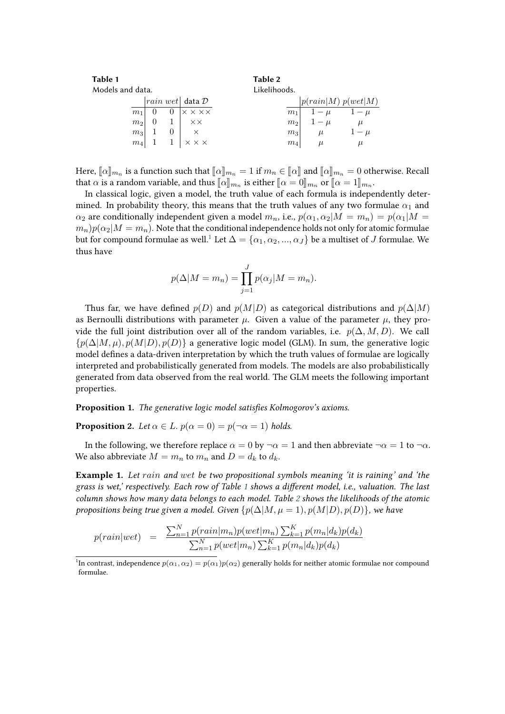<span id="page-3-3"></span><span id="page-3-2"></span>

| Table 1          |                |  |                                    | Table 2        |                    |         |
|------------------|----------------|--|------------------------------------|----------------|--------------------|---------|
| Models and data. |                |  |                                    | Likelihoods.   |                    |         |
|                  |                |  | $ rain \; wet $ data $\mathcal{D}$ |                | p(rain M) p(wet M) |         |
|                  | m <sub>1</sub> |  | $\times$ $\times$ $\times\times$   | m <sub>1</sub> | $1-\mu$            | $1-\mu$ |
|                  | m <sub>2</sub> |  | $\times\times$                     | m <sub>2</sub> | $1-\mu$            | $\mu$   |
|                  | $ m_3 $        |  |                                    | m <sub>3</sub> | $\mu$              | $1-\mu$ |
|                  | $ m_4 $        |  | $\times$ $\times$ $\times$         | $m_4$          |                    | $\mu$   |

Here,  $[\![\alpha]\!]_{m_n}$  is a function such that  $[\![\alpha]\!]_{m_n} = 1$  if  $m_n \in [\![\alpha]\!]$  and  $[\![\alpha]\!]_{m_n} = 0$  otherwise. Recall that  $\alpha$  is a second provisible and thus  $[\![\alpha]\!]_{m_n} = 0$  and  $[\![\alpha]\!]_{m_n} = 0$  otherwise. Recall that  $\alpha$  is a random variable, and thus  $[\![\alpha]\!]_{m_n}$  is either  $[\![\alpha = 0]\!]_{m_n}$  or  $[\![\alpha = 1]\!]_{m_n}$ .<br>In close is given a model, the truth velue of each formula is independent

In classical logic, given a model, the truth value of each formula is independently determined. In probability theory, this means that the truth values of any two formulae  $\alpha_1$  and  $\alpha_2$  are conditionally independent given a model  $m_n$ , i.e.,  $p(\alpha_1, \alpha_2|M = m_n) = p(\alpha_1|M =$  $(m_n)p(\alpha_2|M = m_n)$ . Note that the conditional independence holds not only for atomic formulae but for compound formulae as well.<sup>[1](#page-3-1)</sup> Let  $\Delta = {\alpha_1, \alpha_2, ..., \alpha_J}$  be a multiset of *J* formulae. We thus have

$$
p(\Delta|M = m_n) = \prod_{j=1}^{J} p(\alpha_j|M = m_n).
$$

Thus far, we have defined  $p(D)$  and  $p(M|D)$  as categorical distributions and  $p(\Delta|M)$ as Bernoulli distributions with parameter  $\mu$ . Given a value of the parameter  $\mu$ , they provide the full joint distribution over all of the random variables, i.e.  $p(\Delta, M, D)$ . We call  $\{p(\Delta|M,\mu), p(M|D), p(D)\}\$ a generative logic model (GLM). In sum, the generative logic model defines a data-driven interpretation by which the truth values of formulae are logically interpreted and probabilistically generated from models. The models are also probabilistically generated from data observed from the real world. The GLM meets the following important properties.

<span id="page-3-0"></span>**Proposition 1.** *The generative logic model satisfies Kolmogorov's axioms.*

**Proposition 2.** Let  $\alpha \in L$ ,  $p(\alpha = 0) = p(\neg \alpha = 1)$  holds.

In the following, we therefore replace  $\alpha = 0$  by  $\neg \alpha = 1$  and then abbreviate  $\neg \alpha = 1$  to  $\neg \alpha$ . We also abbreviate  $M = m_n$  to  $m_n$  and  $D = d_k$  to  $d_k$ .

<span id="page-3-4"></span>**Example 1.** *Let and be two propositional symbols meaning 'it is raining' and 'the grass is wet,' respectively. Each row of Table [1](#page-3-2) shows a different model, i.e., valuation. The last column shows how many data belongs to each model. Table [2](#page-3-3) shows the likelihoods of the atomic propositions being true given a model. Given*  $\{p(\Delta|M, \mu = 1), p(M|D), p(D)\}\)$ , we have

$$
p(rain|wet) = \frac{\sum_{n=1}^{N} p(rain|m_n)p(wet|m_n) \sum_{k=1}^{K} p(m_n|d_k)p(d_k)}{\sum_{n=1}^{N} p(wet|m_n) \sum_{k=1}^{K} p(m_n|d_k)p(d_k)}
$$

<span id="page-3-1"></span><sup>&</sup>lt;sup>1</sup>In contrast, independence  $p(\alpha_1, \alpha_2) = p(\alpha_1)p(\alpha_2)$  generally holds for neither atomic formulae nor compound formulae.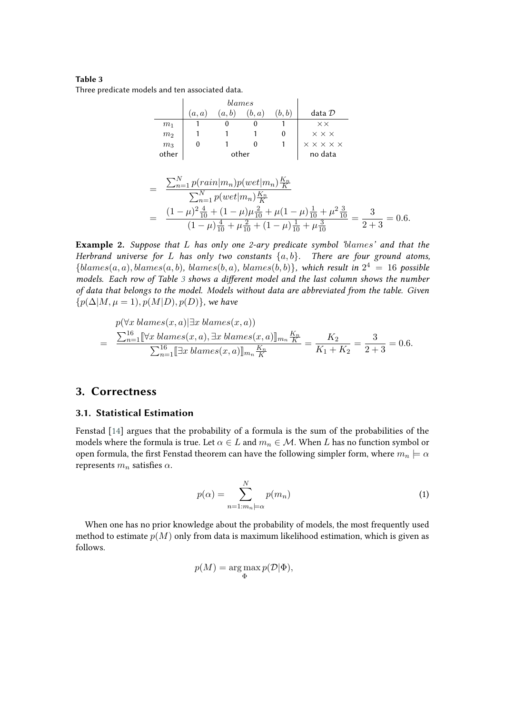#### **Table 3**

<span id="page-4-1"></span>Three predicate models and ten associated data.

|                | (a,a) | (a,b) | (b,a) | (b, b)  | data $\mathcal D$                            |
|----------------|-------|-------|-------|---------|----------------------------------------------|
| m <sub>1</sub> |       |       |       |         | $\times\times$                               |
| m <sub>2</sub> |       |       |       |         | $\times$ $\times$ $\times$                   |
| m <sub>3</sub> |       |       |       |         | $\times$ $\times$ $\times$ $\times$ $\times$ |
| other          | other |       |       | no data |                                              |
|                |       |       |       |         |                                              |

$$
= \frac{\sum_{n=1}^{N} p(rain|m_n)p(wet|m_n)\frac{K_n}{K}}{\sum_{n=1}^{N} p(wet|m_n)\frac{K_n}{K}}
$$
  
= 
$$
\frac{(1-\mu)^2 \frac{4}{10} + (1-\mu)\mu \frac{2}{10} + \mu(1-\mu)\frac{1}{10} + \mu^2 \frac{3}{10}}{(1-\mu)\frac{4}{10} + \mu\frac{2}{10} + (1-\mu)\frac{1}{10} + \mu\frac{3}{10}} = \frac{3}{2+3} = 0.6.
$$

**Example 2.** *Suppose that has only one 2-ary predicate symbol '' and that the Herbrand universe for L* has only two constants  $\{a, b\}$ . *There are four ground atoms,*  ${blames(a, a), blames(a, b), blames(b, a), blames(b, b)},$  which result in  $2<sup>4</sup> = 16$  possible *models. Each row of Table [3](#page-4-1) shows a different model and the last column shows the number of data that belongs to the model. Models without data are abbreviated from the table. Given*  ${p(\Delta|M, \mu = 1), p(M|D), p(D)}$ , we have

$$
p(\forall x \, \text{blames}(x, a) | \exists x \, \text{blames}(x, a))
$$
\n
$$
= \frac{\sum_{n=1}^{16} [\forall x \, \text{blames}(x, a), \exists x \, \text{blames}(x, a)]|_{m_n} \frac{K_n}{K}}{\sum_{n=1}^{16} [\exists x \, \text{blames}(x, a)]|_{m_n} \frac{K_n}{K}} = \frac{K_2}{K_1 + K_2} = \frac{3}{2 + 3} = 0.6.
$$

#### **3. Correctness**

#### <span id="page-4-0"></span>**3.1. Statistical Estimation**

Fenstad [\[14\]](#page-12-13) argues that the probability of a formula is the sum of the probabilities of the models where the formula is true. Let  $\alpha \in L$  and  $m_n \in \mathcal{M}$ . When L has no function symbol or open formula, the first Fenstad theorem can have the following simpler form, where  $m_n \models \alpha$ represents  $m_n$  satisfies  $\alpha$ .

<span id="page-4-2"></span>
$$
p(\alpha) = \sum_{n=1:m_n=\alpha}^{N} p(m_n)
$$
 (1)

When one has no prior knowledge about the probability of models, the most frequently used method to estimate  $p(M)$  only from data is maximum likelihood estimation, which is given as follows.

$$
p(M) = \argmax_{\Phi} p(\mathcal{D}|\Phi),
$$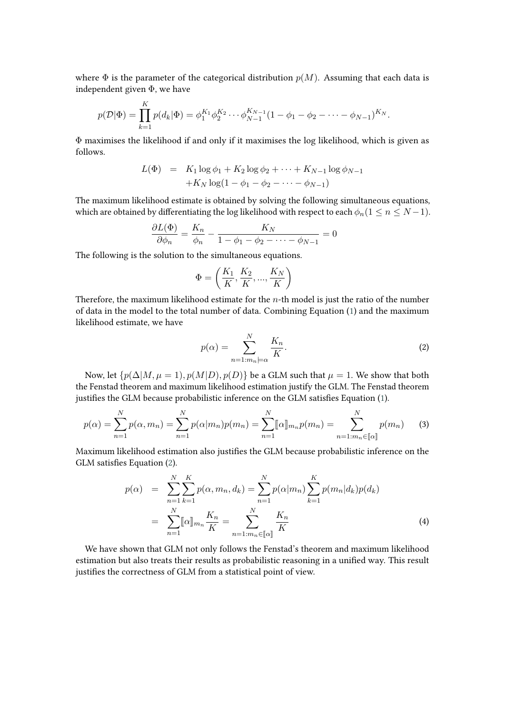where  $\Phi$  is the parameter of the categorical distribution  $p(M)$ . Assuming that each data is independent given Φ, we have

$$
p(\mathcal{D}|\Phi) = \prod_{k=1}^{K} p(d_k|\Phi) = \phi_1^{K_1} \phi_2^{K_2} \cdots \phi_{N-1}^{K_{N-1}} (1 - \phi_1 - \phi_2 - \cdots - \phi_{N-1})^{K_N}.
$$

Φ maximises the likelihood if and only if it maximises the log likelihood, which is given as follows.

$$
L(\Phi) = K_1 \log \phi_1 + K_2 \log \phi_2 + \dots + K_{N-1} \log \phi_{N-1} + K_N \log(1 - \phi_1 - \phi_2 - \dots - \phi_{N-1})
$$

The maximum likelihood estimate is obtained by solving the following simultaneous equations, which are obtained by differentiating the log likelihood with respect to each  $\phi_n (1 \leq n \leq N-1)$ .

$$
\frac{\partial L(\Phi)}{\partial \phi_n} = \frac{K_n}{\phi_n} - \frac{K_N}{1 - \phi_1 - \phi_2 - \dots - \phi_{N-1}} = 0
$$

The following is the solution to the simultaneous equations.

 $\ddot{\phantom{0}}$ 

$$
\Phi = \left(\frac{K_1}{K}, \frac{K_2}{K}, ..., \frac{K_N}{K}\right)
$$

Therefore, the maximum likelihood estimate for the  $n$ -th model is just the ratio of the number of data in the model to the total number of data. Combining Equation [\(1\)](#page-4-2) and the maximum likelihood estimate, we have

<span id="page-5-2"></span>
$$
p(\alpha) = \sum_{n=1:m_n=\alpha}^{N} \frac{K_n}{K}.
$$
 (2)

Now, let  $\{p(\Delta|M, \mu = 1), p(M|D), p(D)\}\$ be a GLM such that  $\mu = 1$ . We show that both the Fenstad theorem and maximum likelihood estimation justify the GLM. The Fenstad theorem justifies the GLM because probabilistic inference on the GLM satisfies Equation [\(1\)](#page-4-2).

<span id="page-5-0"></span>
$$
p(\alpha) = \sum_{n=1}^{N} p(\alpha, m_n) = \sum_{n=1}^{N} p(\alpha | m_n) p(m_n) = \sum_{n=1}^{N} [\![\alpha]\!]_{m_n} p(m_n) = \sum_{n=1:m_n \in [\![\alpha]\!]}^{N} p(m_n)
$$
(3)

Maximum likelihood estimation also justifies the GLM because probabilistic inference on the GLM satisfies Equation [\(2\)](#page-5-2).

<span id="page-5-1"></span>
$$
p(\alpha) = \sum_{n=1}^{N} \sum_{k=1}^{K} p(\alpha, m_n, d_k) = \sum_{n=1}^{N} p(\alpha | m_n) \sum_{k=1}^{K} p(m_n | d_k) p(d_k)
$$
  

$$
= \sum_{n=1}^{N} [\![\alpha]\!]_{m_n} \frac{K_n}{K} = \sum_{n=1:m_n \in [\![\alpha]\!]}^{N} \frac{K_n}{K}
$$
(4)

We have shown that GLM not only follows the Fenstad's theorem and maximum likelihood estimation but also treats their results as probabilistic reasoning in a unified way. This result justifies the correctness of GLM from a statistical point of view.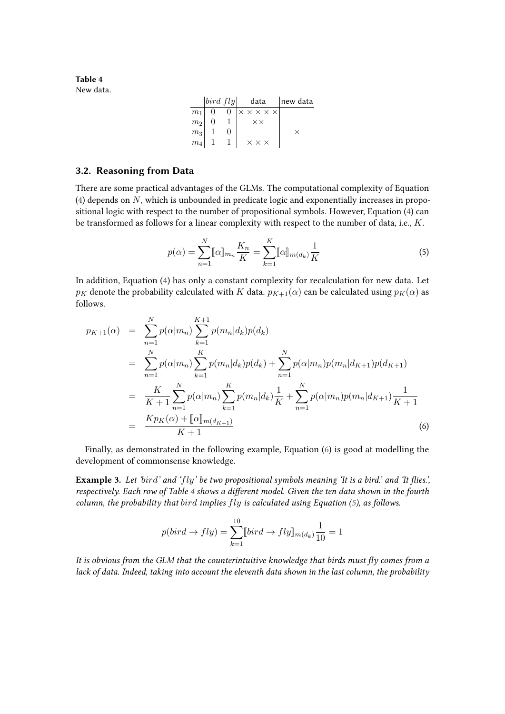<span id="page-6-1"></span>**Table 4** New data.

|                                                     |                |                | $ bird\ fly $ data                   | new data |
|-----------------------------------------------------|----------------|----------------|--------------------------------------|----------|
| $m_1$                                               | $\overline{0}$ | $\overline{0}$ | $\times \times \times \times \times$ |          |
| m <sub>2</sub>                                      |                |                | $\times\times$                       |          |
| $\begin{array}{c c} m_3 & 1 \\ m_4 & 1 \end{array}$ |                |                |                                      |          |
|                                                     |                |                | $\times$ $\times$ $\times$           |          |

#### **3.2. Reasoning from Data**

There are some practical advantages of the GLMs. The computational complexity of Equation [\(4\)](#page-5-1) depends on  $N$ , which is unbounded in predicate logic and exponentially increases in propositional logic with respect to the number of propositional symbols. However, Equation [\(4\)](#page-5-1) can be transformed as follows for a linear complexity with respect to the number of data, i.e.,  $K$ .

<span id="page-6-2"></span>
$$
p(\alpha) = \sum_{n=1}^{N} [\![\alpha]\!]_{m_n} \frac{K_n}{K} = \sum_{k=1}^{K} [\![\alpha]\!]_{m(d_k)} \frac{1}{K}
$$
 (5)

In addition, Equation [\(4\)](#page-5-1) has only a constant complexity for recalculation for new data. Let  $p_K$  denote the probability calculated with K data.  $p_{K+1}(\alpha)$  can be calculated using  $p_K(\alpha)$  as follows.

<span id="page-6-0"></span>
$$
p_{K+1}(\alpha) = \sum_{n=1}^{N} p(\alpha|m_n) \sum_{k=1}^{K+1} p(m_n|d_k)p(d_k)
$$
  
\n
$$
= \sum_{n=1}^{N} p(\alpha|m_n) \sum_{k=1}^{K} p(m_n|d_k)p(d_k) + \sum_{n=1}^{N} p(\alpha|m_n)p(m_n|d_{K+1})p(d_{K+1})
$$
  
\n
$$
= \frac{K}{K+1} \sum_{n=1}^{N} p(\alpha|m_n) \sum_{k=1}^{K} p(m_n|d_k) \frac{1}{K} + \sum_{n=1}^{N} p(\alpha|m_n)p(m_n|d_{K+1}) \frac{1}{K+1}
$$
  
\n
$$
= \frac{Kp_K(\alpha) + [\![\alpha]\!]_{m(d_{K+1})}}{K+1}
$$
(6)

Finally, as demonstrated in the following example, Equation [\(6\)](#page-6-0) is good at modelling the development of commonsense knowledge.

**Example 3.** *Let '' and '' be two propositional symbols meaning 'It is a bird.' and 'It flies.', respectively. Each row of Table [4](#page-6-1) shows a different model. Given the ten data shown in the fourth column, the probability that implies is calculated using Equation [\(5\)](#page-6-2), as follows.*

$$
p(bird \to fly) = \sum_{k=1}^{10} [bird \to fly]_{m(d_k)} \frac{1}{10} = 1
$$

*It is obvious from the GLM that the counterintuitive knowledge that birds must fly comes from a lack of data. Indeed, taking into account the eleventh data shown in the last column, the probability*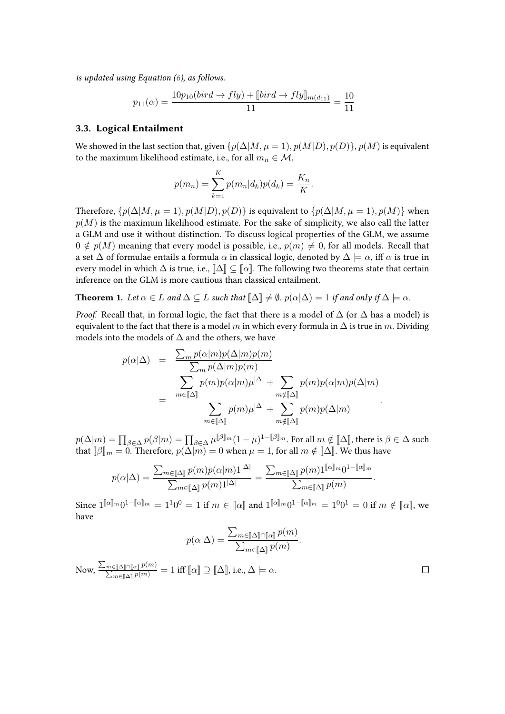*is updated using Equation [\(6\)](#page-6-0), as follows.*

$$
p_{11}(\alpha) = \frac{10p_{10}(bird \rightarrow fly) + [bird \rightarrow fly]_{m(d_{11})}}{11} = \frac{10}{11}
$$

#### **3.3. Logical Entailment**

We showed in the last section that, given  $\{p(\Delta|M, \mu = 1), p(M|D), p(D)\}, p(M)$  is equivalent to the maximum likelihood estimate, i.e., for all  $m_n \in \mathcal{M}$ ,

$$
p(m_n) = \sum_{k=1}^{K} p(m_n|d_k)p(d_k) = \frac{K_n}{K}.
$$

Therefore,  $\{p(\Delta|M, \mu = 1), p(M|D), p(D)\}\$ is equivalent to  $\{p(\Delta|M, \mu = 1), p(M)\}\$  when  $p(M)$  is the maximum likelihood estimate. For the sake of simplicity, we also call the latter a GLM and use it without distinction. To discuss logical properties of the GLM, we assume  $0 \notin p(M)$  meaning that every model is possible, i.e.,  $p(m) \neq 0$ , for all models. Recall that a set  $\Delta$  of formulae entails a formula  $\alpha$  in classical logic, denoted by  $\Delta \models \alpha$ , iff  $\alpha$  is true in every model in which  $\Delta$  is true, i.e.,  $\llbracket \Delta \rrbracket \subseteq \llbracket \alpha \rrbracket$ . The following two theorems state that certain inference on the GLM is more cautious than classical entailment.

<span id="page-7-0"></span>**Theorem 1.** Let  $\alpha \in L$  and  $\Delta \subseteq L$  such that  $\Delta \cong \emptyset$ .  $p(\alpha | \Delta) = 1$  if and only if  $\Delta \models \alpha$ .

*Proof.* Recall that, in formal logic, the fact that there is a model of  $\Delta$  (or  $\Delta$  has a model) is equivalent to the fact that there is a model m in which every formula in  $\Delta$  is true in m. Dividing models into the models of  $\Delta$  and the others, we have

$$
p(\alpha|\Delta) = \frac{\sum_{m} p(\alpha|m)p(\Delta|m)p(m)}{\sum_{m} p(\Delta|m)p(m)} = \frac{\sum_{m\in[\![\Delta]\!]} p(m)p(\alpha|m)\mu^{|\Delta|} + \sum_{m\notin[\![\Delta]\!]} p(m)p(\alpha|m)p(\Delta|m)}{\sum_{m\in[\![\Delta]\!]} p(m)\mu^{|\Delta|} + \sum_{m\notin[\![\Delta]\!]} p(m)p(\Delta|m)}.
$$

 $p(\Delta|m) = \prod_{\beta \in \Delta} p(\beta|m) = \prod_{\beta \in \Delta} \mu^{\beta|m} (1 - \mu)^{1 - \beta|m}$ . For all  $m \notin [\![\Delta]\!]$ , there is  $\beta \in \Delta$  such that  $\lceil \beta \rceil = 0$ . Therefore,  $p(\Delta|m) = 0$  when  $\mu = 1$  for all  $m \notin [\![\Delta]\!]$ . We thus have that  $[\![\beta]\!]_m = 0$ . Therefore,  $p(\Delta[m]) = 0$  when  $\mu = 1$ , for all  $m \notin [\![\Delta]\!]$ . We thus have

$$
p(\alpha|\Delta) = \frac{\sum_{m \in [\![\Delta]\!]} p(m) p(\alpha|m) 1^{|\Delta|}}{\sum_{m \in [\![\Delta]\!]} p(m) 1^{|\Delta|}} = \frac{\sum_{m \in [\![\Delta]\!]} p(m) 1^{[\![\alpha]\!]_m} 0^{1 - [\![\alpha]\!]_m}}{\sum_{m \in [\![\Delta]\!]} p(m)}.
$$

Since  $1^{\llbracket\alpha\rrbracket_m}0^{1-\llbracket\alpha\rrbracket_m} = 1^10^0 = 1$  if  $m \in \llbracket\alpha\rrbracket$  and  $1^{\llbracket\alpha\rrbracket_m}0^{1-\llbracket\alpha\rrbracket_m} = 1^00^1 = 0$  if  $m \notin \llbracket\alpha\rrbracket$ , we have

$$
p(\alpha|\Delta) = \frac{\sum_{m \in [\![\Delta]\!] \cap [\![\alpha]\!]} p(m)}{\sum_{m \in [\![\Delta]\!]} p(m)}.
$$

Now,  $\frac{\sum_{m\in[\![\Delta]\!]\cap[\![\alpha]\!]}p(m)}{\sum_{\tau\in\mathbb{R}}p(m)}$  $\frac{\sum_{m\in[\![\Delta]\!]\!]\cap[m]}{p(m)}}{ \sum_{m\in[\![\Delta]\!]} p(m)} = 1$  iff  $[\![\alpha]\!] \supseteq [\![\Delta]\!]$ , i.e.,  $\Delta \models \alpha$ .

 $\Box$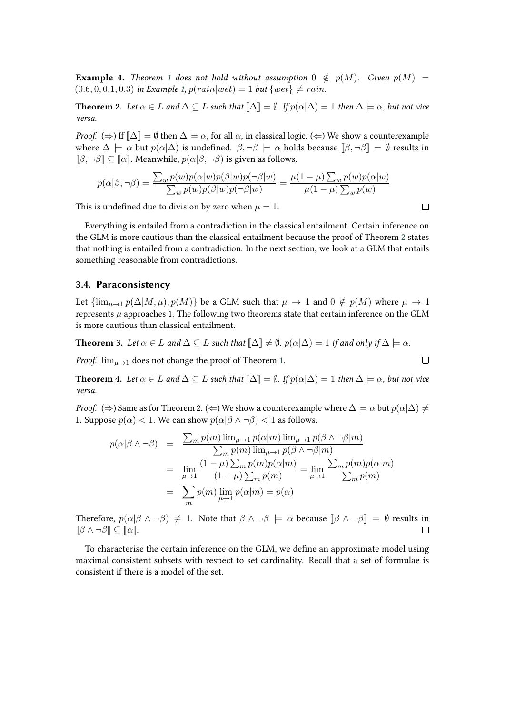**Example 4.** *Theorem* [1](#page-7-0) *does not hold without assumption*  $0 \notin p(M)$ *. Given*  $p(M) =$  $(0.6, 0, 0.1, 0.3)$  $(0.6, 0, 0.1, 0.3)$  $(0.6, 0, 0.1, 0.3)$  *in Example* 1,  $p(rain|wet) = 1$  *but*  $\{wet\} \not\models rain$ .

<span id="page-8-0"></span>**Theorem 2.** Let  $\alpha \in L$  and  $\Delta \subseteq L$  such that  $\llbracket \Delta \rrbracket = \emptyset$ . If  $p(\alpha|\Delta) = 1$  then  $\Delta \models \alpha$ , but not vice *versa.*

*Proof.*  $(\Rightarrow)$  If  $[\![\Delta]\!] = \emptyset$  then  $\Delta \models \alpha$ , for all  $\alpha$ , in classical logic.  $(\Leftarrow)$  We show a counterexample where  $\Delta \models \alpha$  but  $p(\alpha|\Delta)$  is undefined.  $\beta, \neg \beta \models \alpha$  holds because  $[\beta, \neg \beta] = \emptyset$  results in  $\llbracket \beta, \neg \beta \rrbracket \subseteq \llbracket \alpha \rrbracket$ . Meanwhile,  $p(\alpha | \beta, \neg \beta)$  is given as follows.

$$
p(\alpha|\beta, \neg \beta) = \frac{\sum_{w} p(w)p(\alpha|w)p(\beta|w)p(\neg \beta|w)}{\sum_{w} p(w)p(\beta|w)p(\neg \beta|w)} = \frac{\mu(1-\mu)\sum_{w} p(w)p(\alpha|w)}{\mu(1-\mu)\sum_{w} p(w)}
$$

This is undefined due to division by zero when  $\mu = 1$ .

Everything is entailed from a contradiction in the classical entailment. Certain inference on the GLM is more cautious than the classical entailment because the proof of Theorem [2](#page-8-0) states that nothing is entailed from a contradiction. In the next section, we look at a GLM that entails something reasonable from contradictions.

#### **3.4. Paraconsistency**

Let  $\{\lim_{\mu\to 1} p(\Delta|M,\mu), p(M)\}\$  be a GLM such that  $\mu \to 1$  and  $0 \notin p(M)$  where  $\mu \to 1$ represents  $\mu$  approaches 1. The following two theorems state that certain inference on the GLM is more cautious than classical entailment.

**Theorem 3.** Let  $\alpha \in L$  and  $\Delta \subseteq L$  such that  $\Delta \cong \beta$ .  $p(\alpha|\Delta) = 1$  if and only if  $\Delta \models \alpha$ .

*Proof.*  $\lim_{\mu \to 1}$  does not change the proof of Theorem [1.](#page-7-0)

**Theorem 4.** Let  $\alpha \in L$  and  $\Delta \subseteq L$  such that  $\Delta \subseteq \emptyset$ . If  $p(\alpha|\Delta) = 1$  then  $\Delta \models \alpha$ , but not vice *versa.*

*Proof.* ( $\Rightarrow$ ) Same as for Theorem 2. ( $\Leftarrow$ ) We show a counterexample where  $\Delta \models \alpha$  but  $p(\alpha|\Delta) \neq$ 1. Suppose  $p(\alpha) < 1$ . We can show  $p(\alpha | \beta \wedge \neg \beta) < 1$  as follows.

$$
p(\alpha|\beta \wedge \neg \beta) = \frac{\sum_{m} p(m) \lim_{\mu \to 1} p(\alpha|m) \lim_{\mu \to 1} p(\beta \wedge \neg \beta|m)}{\sum_{m} p(m) \lim_{\mu \to 1} p(\beta \wedge \neg \beta|m)}
$$
  
= 
$$
\lim_{\mu \to 1} \frac{(1 - \mu) \sum_{m} p(m) p(\alpha|m)}{(1 - \mu) \sum_{m} p(m)} = \lim_{\mu \to 1} \frac{\sum_{m} p(m) p(\alpha|m)}{\sum_{m} p(m)}
$$
  
= 
$$
\sum_{m} p(m) \lim_{\mu \to 1} p(\alpha|m) = p(\alpha)
$$

Therefore,  $p(\alpha|\beta \wedge \neg \beta) \neq 1$ . Note that  $\beta \wedge \neg \beta \models \alpha$  because  $[\beta \wedge \neg \beta] = \emptyset$  results in  $[\beta \wedge \neg \beta] \subset [\alpha]$ .  $\llbracket \beta \wedge \neg \beta \rrbracket \subset \llbracket \alpha \rrbracket.$ 

To characterise the certain inference on the GLM, we define an approximate model using maximal consistent subsets with respect to set cardinality. Recall that a set of formulae is consistent if there is a model of the set.

$$
\Box
$$

 $\Box$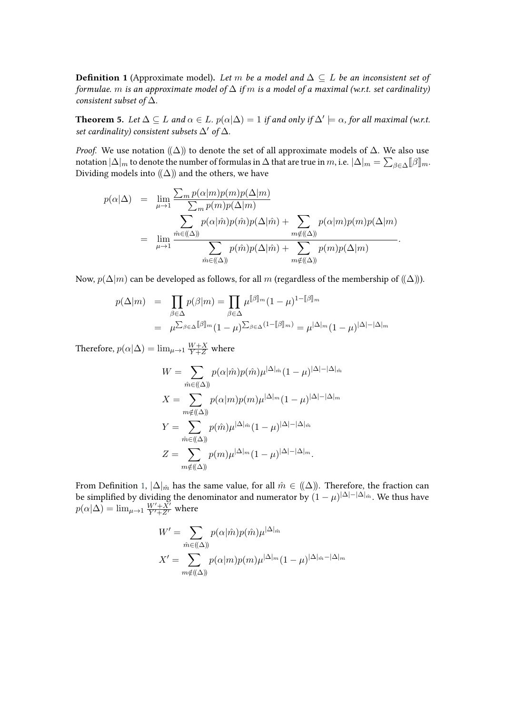<span id="page-9-1"></span>**Definition 1** (Approximate model). Let m be a model and  $\Delta \subseteq L$  be an inconsistent set of *formulae. m* is an approximate model of  $\Delta$  *if m* is a model of a maximal (w.r.t. set cardinality) *consistent subset of* Δ*.*

<span id="page-9-0"></span>**Theorem 5.** Let  $\Delta \subseteq L$  and  $\alpha \in L$ .  $p(\alpha|\Delta) = 1$  if and only if  $\Delta' \models \alpha$ , for all maximal (w.r.t. *set cardinality) consistent subsets* Δ′ *of* Δ*.*

*Proof.* We use notation  $(\Delta)$  to denote the set of all approximate models of  $\Delta$ . We also use notation  $|\Delta|_m$  to denote the number of formulas in  $\Delta$  that are true in m, i.e.  $|\Delta|_m = \sum_{\beta \in \Delta} [\beta]_m$ .<br>Dividing models into  $\langle (\Delta) \rangle$  and the others we have Dividing models into  $(\Delta)$  and the others, we have

$$
p(\alpha|\Delta) = \lim_{\mu \to 1} \frac{\sum_{m} p(\alpha|m)p(m)p(\Delta|m)}{\sum_{m} p(m)p(\Delta|m)} \n= \lim_{\mu \to 1} \frac{\sum_{m} p(\alpha|\hat{m})p(\hat{m})p(\Delta|\hat{m}) + \sum_{m \notin ((\Delta))} p(\alpha|m)p(m)p(\Delta|m)}{\sum_{\hat{m} \in ((\Delta))} p(\hat{m})p(\Delta|\hat{m}) + \sum_{m \notin ((\Delta))} p(m)p(\Delta|m)}.
$$

Now,  $p(\Delta|m)$  can be developed as follows, for all m (regardless of the membership of  $((\Delta))$ ).

$$
p(\Delta|m) = \prod_{\beta \in \Delta} p(\beta|m) = \prod_{\beta \in \Delta} \mu^{[\beta]_m} (1 - \mu)^{1 - [\beta]_m}
$$
  
= 
$$
\mu^{\sum_{\beta \in \Delta} [\beta]_m} (1 - \mu)^{\sum_{\beta \in \Delta} (1 - [\beta]_m)} = \mu^{|\Delta|_m} (1 - \mu)^{|\Delta| - |\Delta|_m}
$$

Therefore,  $p(\alpha|\Delta) = \lim_{\mu \to 1} \frac{W+X}{Y+Z}$  where

$$
W = \sum_{\hat{m} \in ((\Delta))} p(\alpha | \hat{m}) p(\hat{m}) \mu^{|\Delta|_{\hat{m}}}(1 - \mu)^{|\Delta| - |\Delta|_{\hat{m}}}
$$
  

$$
X = \sum_{m \notin ((\Delta))} p(\alpha | m) p(m) \mu^{|\Delta|_{m}} (1 - \mu)^{|\Delta| - |\Delta|_{m}}
$$
  

$$
Y = \sum_{\hat{m} \in ((\Delta))} p(\hat{m}) \mu^{|\Delta|_{\hat{m}}}(1 - \mu)^{|\Delta| - |\Delta|_{\hat{m}}}
$$
  

$$
Z = \sum_{m \notin ((\Delta))} p(m) \mu^{|\Delta|_{m}} (1 - \mu)^{|\Delta| - |\Delta|_{m}}.
$$

From Definition [1,](#page-9-1)  $|\Delta|_{\hat{m}}$  has the same value, for all  $\hat{m} \in ((\Delta))$ . Therefore, the fraction can be simplified by dividing the denominator and numerator by  $(1-\mu)^{|\Delta|-|\Delta|_{\hat{m}}}$ . We thus have  $p(\alpha|\Delta) = \lim_{\mu \to 1} \frac{W' + X'}{Y' + Z'}$  where

$$
W' = \sum_{\hat{m} \in (\Delta)} p(\alpha | \hat{m}) p(\hat{m}) \mu^{|\Delta|_{\hat{m}}}
$$

$$
X' = \sum_{m \notin (\Delta)} p(\alpha | m) p(m) \mu^{|\Delta|_{m}} (1 - \mu)^{|\Delta|_{\hat{m}} - |\Delta|_{m}}
$$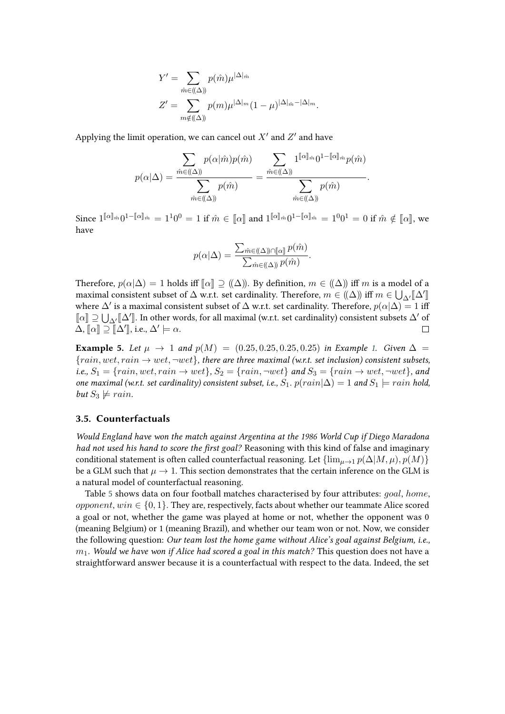$$
Y' = \sum_{\hat{m}\in((\Delta))} p(\hat{m})\mu^{|\Delta|_{\hat{m}}}
$$
  

$$
Z' = \sum_{m\notin((\Delta))} p(m)\mu^{|\Delta|_{m}}(1-\mu)^{|\Delta|_{\hat{m}}-|\Delta|_{m}}.
$$

Applying the limit operation, we can cancel out  $X'$  and  $Z'$  and have

$$
p(\alpha|\Delta) = \frac{\sum_{\hat{m}\in((\Delta))} p(\alpha|\hat{m})p(\hat{m})}{\sum_{\hat{m}\in((\Delta))} p(\hat{m})} = \frac{\sum_{\hat{m}\in((\Delta))} 1^{\llbracket\alpha\rrbracket_{\hat{m}}}\mathbf{0}^{1-\llbracket\alpha\rrbracket_{\hat{m}}}\mathbf{p}(\hat{m})}{\sum_{\hat{m}\in((\Delta))} p(\hat{m})}.
$$

Since  $1^{\llbracket\alpha\rrbracket_{\hat{m}}}0^{1-\llbracket\alpha\rrbracket_{\hat{m}}} = 1^10^0 = 1$  if  $\hat{m} \in \llbracket\alpha\rrbracket$  and  $1^{\llbracket\alpha\rrbracket_{\hat{m}}}0^{1-\llbracket\alpha\rrbracket_{\hat{m}}} = 1^00^1 = 0$  if  $\hat{m} \notin \llbracket\alpha\rrbracket$ , we have

$$
p(\alpha|\Delta) = \frac{\sum_{\hat{m}\in((\Delta))\cap[\![\alpha]\!]} p(\hat{m})}{\sum_{\hat{m}\in((\Delta))} p(\hat{m})}.
$$

Therefore,  $p(\alpha|\Delta) = 1$  holds iff  $\llbracket \alpha \rrbracket \supseteq ((\Delta))$ . By definition,  $m \in ((\Delta))$  iff m is a model of a maximal consistent subset of  $\Delta$  w.r.t. set cardinality. Therefore,  $m \in (\Delta)$  iff  $m \in \bigcup_{\Delta'} [\Delta'_{\Delta'}]$ <br>where  $\Delta'$  is a maximal consistent subset of  $\Delta$  w.r.t. set cardinality. Therefore,  $n(\alpha|\Delta) = 1$  is where  $\Delta'$  is a maximal consistent subset of  $\Delta$  w.r.t. set cardinality. Therefore,  $p(\alpha|\Delta) = 1$  iff  $\llbracket \alpha \rrbracket \supseteq \bigcup_{\Delta'} \llbracket \Delta' \rrbracket$ . In other words, for all maximal (w.r.t. set cardinality) consistent subsets  $\Delta'$  of  $\Delta, [\![\alpha]\!] \supseteq [\![\Delta']\!],$  i.e.,  $\Delta' \models \alpha$ .

**Example 5.** *Let*  $\mu \to 1$  *and*  $p(M) = (0.25, 0.25, 0.25, 0.25)$  *in Example [1.](#page-3-4) Given*  $\Delta =$  ${train, wet, rain \rightarrow wet, \neg wet}$ , there are three maximal (w.r.t. set inclusion) consistent subsets, *i.e.,*  $S_1 = \{rain, wet, rain \rightarrow wet\}$ ,  $S_2 = \{rain, \neg wet\}$  and  $S_3 = \{rain \rightarrow wet, \neg wet\}$ , and *one maximal (w.r.t. set cardinality) consistent subset, i.e.,*  $S_1$ *.*  $p(rain|\Delta) = 1$  *and*  $S_1 \models rain$  *hold, but*  $S_3 \not\models \text{rain.}$ 

#### <span id="page-10-0"></span>**3.5. Counterfactuals**

*Would England have won the match against Argentina at the 1986 World Cup if Diego Maradona had not used his hand to score the first goal?* Reasoning with this kind of false and imaginary conditional statement is often called counterfactual reasoning. Let  $\{\lim_{u\to 1} p(\Delta|M,\mu), p(M)\}\$ be a GLM such that  $\mu \to 1$ . This section demonstrates that the certain inference on the GLM is a natural model of counterfactual reasoning.

Table [5](#page-11-0) shows data on four football matches characterised by four attributes:  $qoal$ , home, opponent,  $win \in \{0, 1\}$ . They are, respectively, facts about whether our teammate Alice scored a goal or not, whether the game was played at home or not, whether the opponent was 0 (meaning Belgium) or 1 (meaning Brazil), and whether our team won or not. Now, we consider the following question: *Our team lost the home game without Alice's goal against Belgium, i.e.,* 1*. Would we have won if Alice had scored a goal in this match?* This question does not have a straightforward answer because it is a counterfactual with respect to the data. Indeed, the set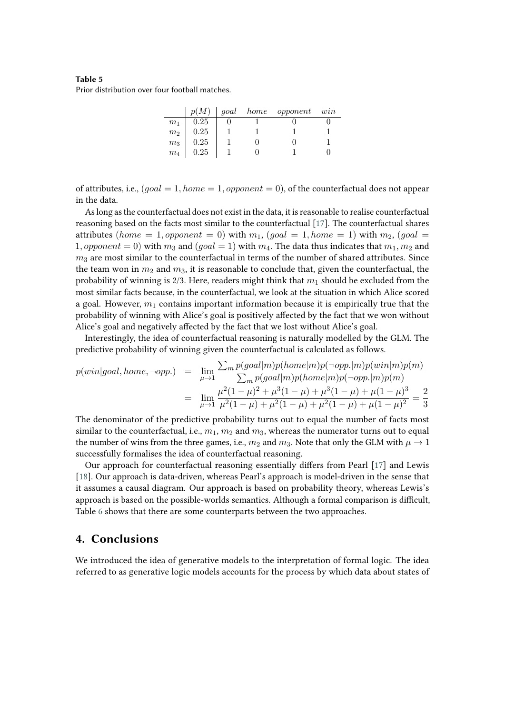#### <span id="page-11-0"></span>**Table 5** Prior distribution over four football matches.

|                    |          |  | $p(M)$   goal home opponent win |  |
|--------------------|----------|--|---------------------------------|--|
| m <sub>1</sub>     | 0.25     |  |                                 |  |
| $\ensuremath{m}_2$ | 0.25     |  |                                 |  |
| $m_3$              | $0.25\,$ |  |                                 |  |
| m <sub>4</sub>     | 0.25     |  |                                 |  |

of attributes, i.e.,  $(goal = 1, home = 1, opponent = 0)$ , of the counterfactual does not appear in the data.

As long as the counterfactual does not exist in the data, it is reasonable to realise counterfactual reasoning based on the facts most similar to the counterfactual [\[17\]](#page-13-1). The counterfactual shares attributes (home  $= 1$ , opponent  $= 0$ ) with  $m_1$ , (goal  $= 1$ , home  $= 1$ ) with  $m_2$ , (goal  $=$ 1, opponent = 0) with  $m_3$  and (goal = 1) with  $m_4$ . The data thus indicates that  $m_1, m_2$  and  $m_3$  are most similar to the counterfactual in terms of the number of shared attributes. Since the team won in  $m_2$  and  $m_3$ , it is reasonable to conclude that, given the counterfactual, the probability of winning is 2/3. Here, readers might think that  $m_1$  should be excluded from the most similar facts because, in the counterfactual, we look at the situation in which Alice scored a goal. However,  $m_1$  contains important information because it is empirically true that the probability of winning with Alice's goal is positively affected by the fact that we won without Alice's goal and negatively affected by the fact that we lost without Alice's goal.

Interestingly, the idea of counterfactual reasoning is naturally modelled by the GLM. The predictive probability of winning given the counterfactual is calculated as follows.

$$
p(win|goal, home, \neg opp.) = \lim_{\mu \to 1} \frac{\sum_{m} p(goal|m)p(home|m)p(\neg opp.|m)p(win|m)p(m)}{\sum_{m} p(goal|m)p(home|m)p(\neg opp.|m)p(m)}
$$
  

$$
= \lim_{\mu \to 1} \frac{\mu^2 (1-\mu)^2 + \mu^3 (1-\mu) + \mu^3 (1-\mu) + \mu (1-\mu)^3}{\mu^2 (1-\mu) + \mu^2 (1-\mu) + \mu^2 (1-\mu) + \mu (1-\mu)^2} = \frac{2}{3}
$$

The denominator of the predictive probability turns out to equal the number of facts most similar to the counterfactual, i.e.,  $m_1$ ,  $m_2$  and  $m_3$ , whereas the numerator turns out to equal the number of wins from the three games, i.e.,  $m_2$  and  $m_3$ . Note that only the GLM with  $\mu \to 1$ successfully formalises the idea of counterfactual reasoning.

Our approach for counterfactual reasoning essentially differs from Pearl [\[17\]](#page-13-1) and Lewis [\[18\]](#page-13-2). Our approach is data-driven, whereas Pearl's approach is model-driven in the sense that it assumes a causal diagram. Our approach is based on probability theory, whereas Lewis's approach is based on the possible-worlds semantics. Although a formal comparison is difficult, Table [6](#page-12-15) shows that there are some counterparts between the two approaches.

## **4. Conclusions**

We introduced the idea of generative models to the interpretation of formal logic. The idea referred to as generative logic models accounts for the process by which data about states of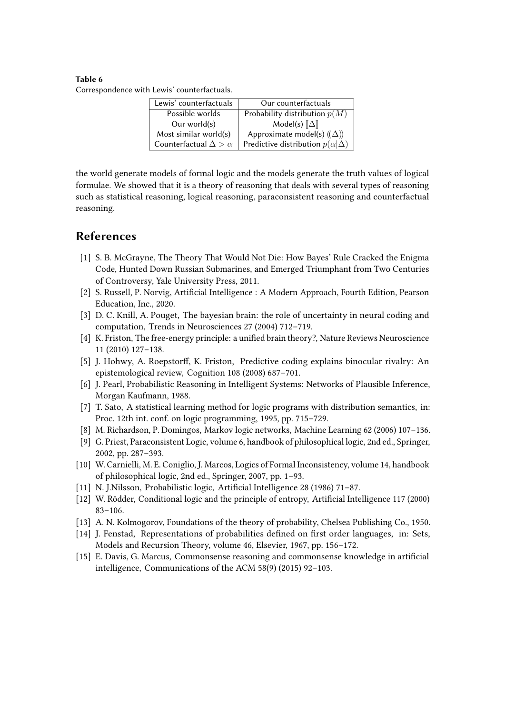#### <span id="page-12-15"></span>**Table 6** Correspondence with Lewis' counterfactuals.

| Lewis' counterfactuals           | Our counterfactuals                        |  |  |
|----------------------------------|--------------------------------------------|--|--|
| Possible worlds                  | Probability distribution $p(M)$            |  |  |
| Our world $(s)$                  | Model(s) $\ \Delta\ $                      |  |  |
| Most similar world(s)            | Approximate model(s) $((\Delta))$          |  |  |
| Counterfactual $\Delta > \alpha$ | Predictive distribution $p(\alpha \Delta)$ |  |  |

the world generate models of formal logic and the models generate the truth values of logical formulae. We showed that it is a theory of reasoning that deals with several types of reasoning such as statistical reasoning, logical reasoning, paraconsistent reasoning and counterfactual reasoning.

# **References**

- <span id="page-12-0"></span>[1] S. B. McGrayne, The Theory That Would Not Die: How Bayes' Rule Cracked the Enigma Code, Hunted Down Russian Submarines, and Emerged Triumphant from Two Centuries of Controversy, Yale University Press, 2011.
- <span id="page-12-1"></span>[2] S. Russell, P. Norvig, Artificial Intelligence : A Modern Approach, Fourth Edition, Pearson Education, Inc., 2020.
- <span id="page-12-2"></span>[3] D. C. Knill, A. Pouget, The bayesian brain: the role of uncertainty in neural coding and computation, Trends in Neurosciences 27 (2004) 712–719.
- <span id="page-12-3"></span>[4] K. Friston, The free-energy principle: a unified brain theory?, Nature Reviews Neuroscience 11 (2010) 127–138.
- <span id="page-12-4"></span>[5] J. Hohwy, A. Roepstorff, K. Friston, Predictive coding explains binocular rivalry: An epistemological review, Cognition 108 (2008) 687–701.
- <span id="page-12-5"></span>[6] J. Pearl, Probabilistic Reasoning in Intelligent Systems: Networks of Plausible Inference, Morgan Kaufmann, 1988.
- <span id="page-12-6"></span>[7] T. Sato, A statistical learning method for logic programs with distribution semantics, in: Proc. 12th int. conf. on logic programming, 1995, pp. 715–729.
- <span id="page-12-7"></span>[8] M. Richardson, P. Domingos, Markov logic networks, Machine Learning 62 (2006) 107–136.
- <span id="page-12-8"></span>[9] G. Priest, Paraconsistent Logic, volume 6, handbook of philosophical logic, 2nd ed., Springer, 2002, pp. 287–393.
- <span id="page-12-9"></span>[10] W. Carnielli, M. E. Coniglio, J. Marcos, Logics of Formal Inconsistency, volume 14, handbook of philosophical logic, 2nd ed., Springer, 2007, pp. 1–93.
- <span id="page-12-10"></span>[11] N. J.Nilsson, Probabilistic logic, Artificial Intelligence 28 (1986) 71–87.
- <span id="page-12-11"></span>[12] W. Rödder, Conditional logic and the principle of entropy, Artificial Intelligence 117 (2000) 83–106.
- <span id="page-12-12"></span>[13] A. N. Kolmogorov, Foundations of the theory of probability, Chelsea Publishing Co., 1950.
- <span id="page-12-13"></span>[14] J. Fenstad, Representations of probabilities defined on first order languages, in: Sets, Models and Recursion Theory, volume 46, Elsevier, 1967, pp. 156–172.
- <span id="page-12-14"></span>[15] E. Davis, G. Marcus, Commonsense reasoning and commonsense knowledge in artificial intelligence, Communications of the ACM 58(9) (2015) 92–103.